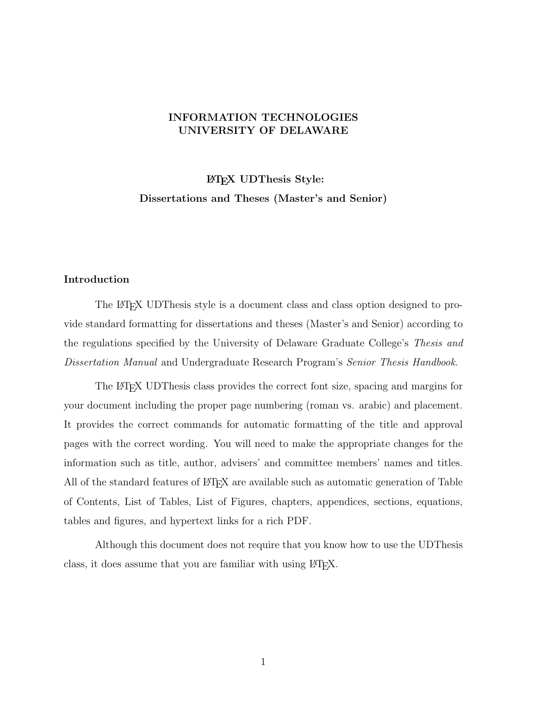# INFORMATION TECHNOLOGIES UNIVERSITY OF DELAWARE

LATEX UDThesis Style: Dissertations and Theses (Master's and Senior)

#### <span id="page-0-0"></span>Introduction

The LATEX UDThesis style is a document class and class option designed to provide standard formatting for dissertations and theses (Master's and Senior) according to the regulations specified by the University of Delaware Graduate College's Thesis and Dissertation Manual and Undergraduate Research Program's Senior Thesis Handbook.

The LATEX UDThesis class provides the correct font size, spacing and margins for your document including the proper page numbering (roman vs. arabic) and placement. It provides the correct commands for automatic formatting of the title and approval pages with the correct wording. You will need to make the appropriate changes for the information such as title, author, advisers' and committee members' names and titles. All of the standard features of LATEX are available such as automatic generation of Table of Contents, List of Tables, List of Figures, chapters, appendices, sections, equations, tables and figures, and hypertext links for a rich PDF.

Although this document does not require that you know how to use the UDThesis class, it does assume that you are familiar with using LATEX.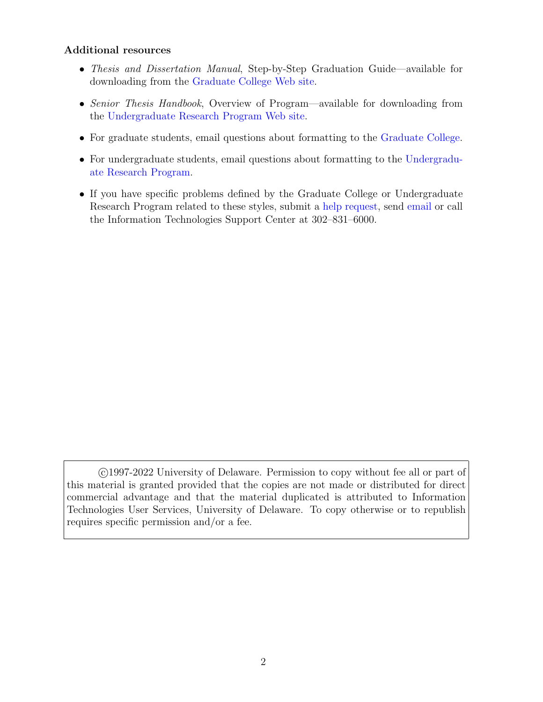# <span id="page-1-0"></span>Additional resources

- Thesis and Dissertation Manual, Step-by-Step Graduation Guide—available for downloading from the [Graduate College Web site.](https://www.udel.edu/academics/colleges/grad/current-students/academic-support/steps-to-graduation/)
- Senior Thesis Handbook, Overview of Program—available for downloading from the [Undergraduate Research Program Web site.](https://www.urp.udel.edu/urp/senior-thesis/)
- For graduate students, email questions about formatting to the [Graduate College.](mailto:gradoffice@udel.edu)
- For undergraduate students, email questions about formatting to the [Undergradu](mailto:undergradresearch@udel.edu)[ate Research Program.](mailto:undergradresearch@udel.edu)
- If you have specific problems defined by the Graduate College or Undergraduate Research Program related to these styles, submit a [help request,](https://services.udel.edu/TDClient/32/Portal/Requests/ServiceDet?ID=157) send [email](mailto:askit@udel.edu) or call the Information Technologies Support Center at 302–831–6000.

 c 1997-2022 University of Delaware. Permission to copy without fee all or part of this material is granted provided that the copies are not made or distributed for direct commercial advantage and that the material duplicated is attributed to Information Technologies User Services, University of Delaware. To copy otherwise or to republish requires specific permission and/or a fee.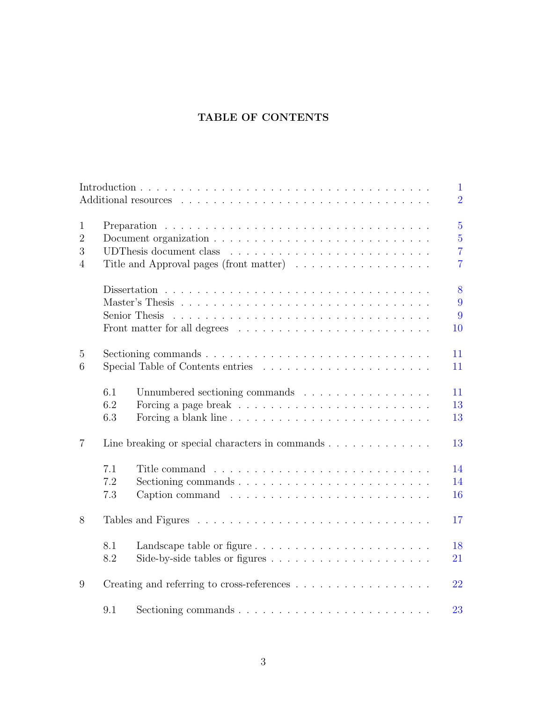# TABLE OF CONTENTS

|                |     |                                                                                             | $\mathbf{1}$   |
|----------------|-----|---------------------------------------------------------------------------------------------|----------------|
|                |     |                                                                                             | $\overline{2}$ |
| $\mathbf{1}$   |     |                                                                                             | $\overline{5}$ |
| $\overline{2}$ |     |                                                                                             | $\overline{5}$ |
| 3              |     |                                                                                             | $\overline{7}$ |
| $\overline{4}$ |     | Title and Approval pages (front matter)                                                     | $\overline{7}$ |
|                |     |                                                                                             | 8              |
|                |     |                                                                                             | 9              |
|                |     |                                                                                             | 9              |
|                |     |                                                                                             | 10             |
| 5              |     | Sectioning commands $\ldots \ldots \ldots \ldots \ldots \ldots \ldots \ldots \ldots \ldots$ | 11             |
| 6              |     |                                                                                             | 11             |
|                | 6.1 | Unnumbered sectioning commands                                                              | 11             |
|                | 6.2 |                                                                                             | 13             |
|                | 6.3 |                                                                                             | 13             |
| $\overline{7}$ |     | Line breaking or special characters in commands                                             | 13             |
|                | 7.1 |                                                                                             | 14             |
|                | 7.2 |                                                                                             | 14             |
|                | 7.3 |                                                                                             | 16             |
| 8              |     |                                                                                             | 17             |
|                | 8.1 | Landscape table or figure                                                                   | 18             |
|                | 8.2 |                                                                                             | 21             |
| 9              |     |                                                                                             | 22             |
|                | 9.1 |                                                                                             | 23             |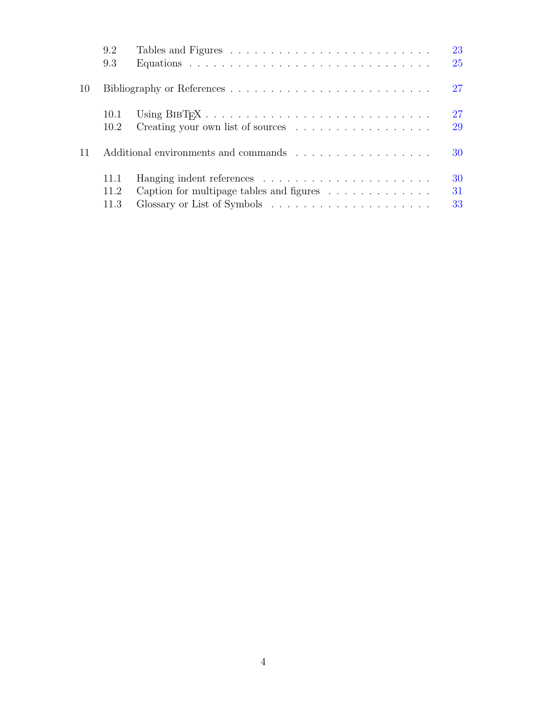|    | 9.2  |                                                                    | 23<br>25 |
|----|------|--------------------------------------------------------------------|----------|
|    | 9.3  |                                                                    |          |
| 10 |      |                                                                    | 27       |
|    | 10.1 |                                                                    | 27       |
|    | 10.2 | Creating your own list of sources                                  | 29       |
| 11 |      | Additional environments and commands                               | 30       |
|    | 11.1 |                                                                    | 30       |
|    | 11.2 | Caption for multipage tables and figures $\dots \dots \dots \dots$ | 31       |
|    | 11.3 |                                                                    | 33       |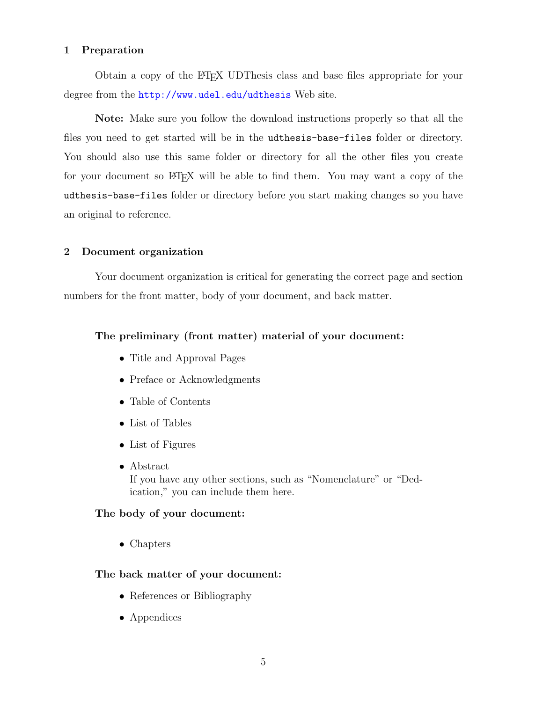### <span id="page-4-0"></span>1 Preparation

Obtain a copy of the LATEX UDThesis class and base files appropriate for your degree from the <http://www.udel.edu/udthesis> Web site.

Note: Make sure you follow the download instructions properly so that all the files you need to get started will be in the udthesis-base-files folder or directory. You should also use this same folder or directory for all the other files you create for your document so  $\beta$ F<sub>F</sub>X will be able to find them. You may want a copy of the udthesis-base-files folder or directory before you start making changes so you have an original to reference.

#### <span id="page-4-1"></span>2 Document organization

Your document organization is critical for generating the correct page and section numbers for the front matter, body of your document, and back matter.

### The preliminary (front matter) material of your document:

- Title and Approval Pages
- Preface or Acknowledgments
- Table of Contents
- List of Tables
- List of Figures
- Abstract If you have any other sections, such as "Nomenclature" or "Dedication," you can include them here.

### The body of your document:

• Chapters

### The back matter of your document:

- References or Bibliography
- Appendices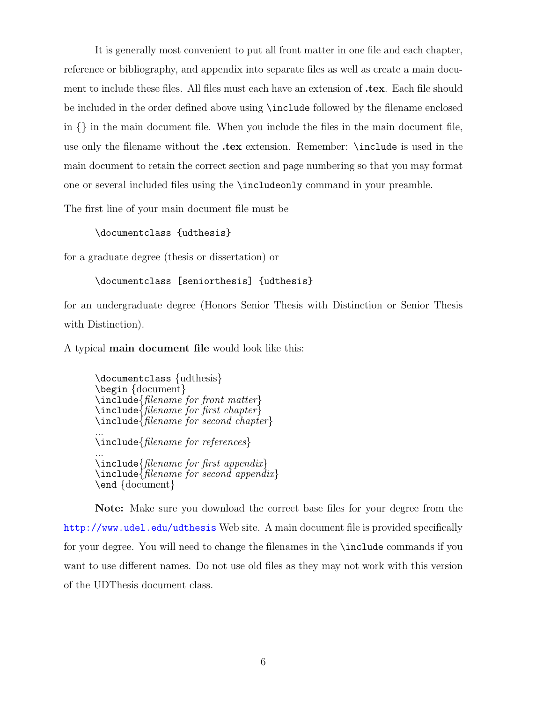It is generally most convenient to put all front matter in one file and each chapter, reference or bibliography, and appendix into separate files as well as create a main document to include these files. All files must each have an extension of .tex. Each file should be included in the order defined above using \include followed by the filename enclosed in {} in the main document file. When you include the files in the main document file, use only the filename without the .tex extension. Remember: \include is used in the main document to retain the correct section and page numbering so that you may format one or several included files using the \includeonly command in your preamble.

The first line of your main document file must be

#### \documentclass {udthesis}

for a graduate degree (thesis or dissertation) or

#### \documentclass [seniorthesis] {udthesis}

for an undergraduate degree (Honors Senior Thesis with Distinction or Senior Thesis with Distinction).

A typical main document file would look like this:

\documentclass {udthesis} \begin {document} \include{filename for front matter}  $\in$   $\{filename\}$  filename for first chapter $\}$  $\in$  include  $\{filename\ for\ second\ chapter\}$ ... \include{filename for references} ... \include{filename for first appendix}  $\in$ linclude{filename for second appendix} \end {document}

Note: Make sure you download the correct base files for your degree from the <http://www.udel.edu/udthesis> Web site. A main document file is provided specifically for your degree. You will need to change the filenames in the \include commands if you want to use different names. Do not use old files as they may not work with this version of the UDThesis document class.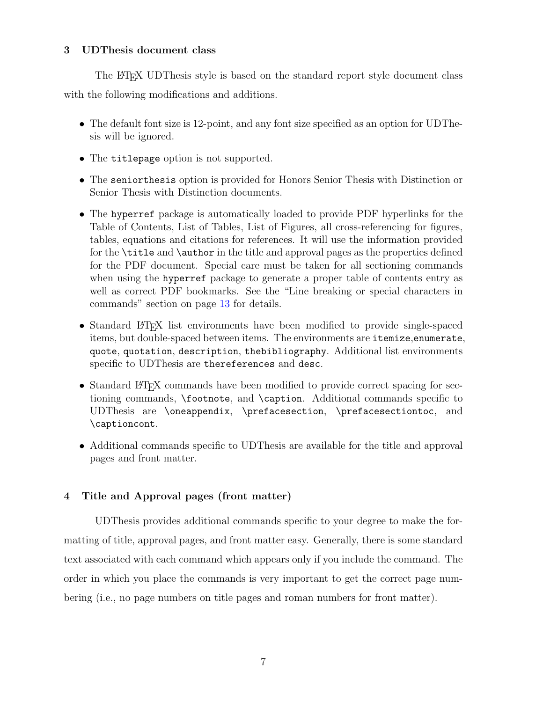### <span id="page-6-0"></span>3 UDThesis document class

The LATEX UDThesis style is based on the standard report style document class with the following modifications and additions.

- The default font size is 12-point, and any font size specified as an option for UDThesis will be ignored.
- The titlepage option is not supported.
- The seniorthesis option is provided for Honors Senior Thesis with Distinction or Senior Thesis with Distinction documents.
- The hyperref package is automatically loaded to provide PDF hyperlinks for the Table of Contents, List of Tables, List of Figures, all cross-referencing for figures, tables, equations and citations for references. It will use the information provided for the \title and \author in the title and approval pages as the properties defined for the PDF document. Special care must be taken for all sectioning commands when using the hyperref package to generate a proper table of contents entry as well as correct PDF bookmarks. See the "Line breaking or special characters in commands" section on page [13](#page-12-2) for details.
- Standard LAT<sub>EX</sub> list environments have been modified to provide single-spaced items, but double-spaced between items. The environments are itemize,enumerate, quote, quotation, description, thebibliography. Additional list environments specific to UDThesis are thereferences and desc.
- Standard LATEX commands have been modified to provide correct spacing for sectioning commands, \footnote, and \caption. Additional commands specific to UDThesis are \oneappendix, \prefacesection, \prefacesectiontoc, and \captioncont.
- Additional commands specific to UDThesis are available for the title and approval pages and front matter.

# <span id="page-6-1"></span>4 Title and Approval pages (front matter)

UDThesis provides additional commands specific to your degree to make the formatting of title, approval pages, and front matter easy. Generally, there is some standard text associated with each command which appears only if you include the command. The order in which you place the commands is very important to get the correct page numbering (i.e., no page numbers on title pages and roman numbers for front matter).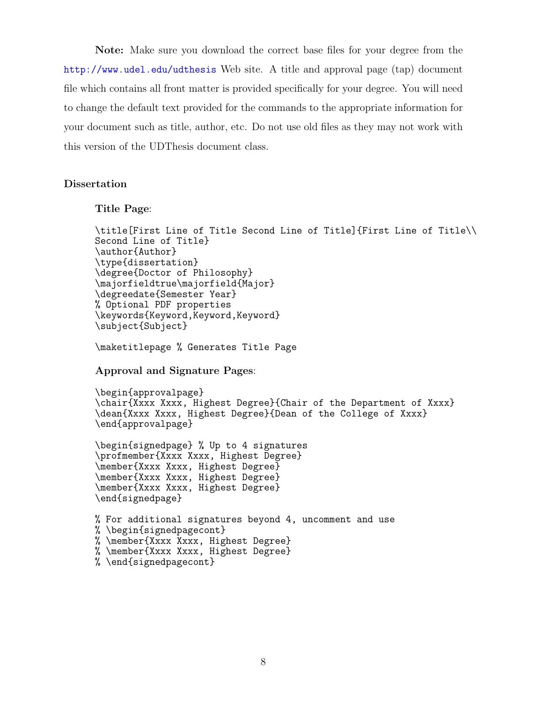Note: Make sure you download the correct base files for your degree from the <http://www.udel.edu/udthesis> Web site. A title and approval page (tap) document file which contains all front matter is provided specifically for your degree. You will need to change the default text provided for the commands to the appropriate information for your document such as title, author, etc. Do not use old files as they may not work with this version of the UDThesis document class.

### <span id="page-7-0"></span>Dissertation

```
Title Page:
```

```
\title[First Line of Title Second Line of Title]{First Line of Title\\
Second Line of Title}
\author{Author}
\type{dissertation}
\degree{Doctor of Philosophy}
\majorfieldtrue\majorfield{Major}
\degreedate{Semester Year}
% Optional PDF properties
\keywords{Keyword,Keyword,Keyword}
\subject{Subject}
```
\maketitlepage % Generates Title Page

Approval and Signature Pages:

```
\begin{approvalpage}
\chair{Xxxx Xxxx, Highest Degree}{Chair of the Department of Xxxx}
\dean{Xxxx Xxxx, Highest Degree}{Dean of the College of Xxxx}
\end{approvalpage}
```

```
\begin{signedpage} % Up to 4 signatures
\profmember{Xxxx Xxxx, Highest Degree}
\member{Xxxx Xxxx, Highest Degree}
\member{Xxxx Xxxx, Highest Degree}
\member{Xxxx Xxxx, Highest Degree}
\end{signedpage}
```

```
% For additional signatures beyond 4, uncomment and use
% \begin{signedpagecont}
% \member{Xxxx Xxxx, Highest Degree}
% \member{Xxxx Xxxx, Highest Degree}
% \end{signedpagecont}
```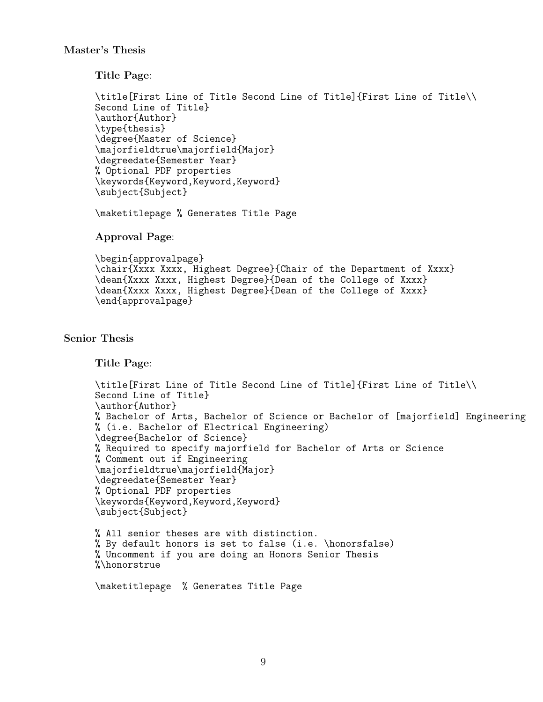### <span id="page-8-0"></span>Master's Thesis

Title Page:

```
\title[First Line of Title Second Line of Title]{First Line of Title\\
Second Line of Title}
\author{Author}
\type{thesis}
\degree{Master of Science}
\majorfieldtrue\majorfield{Major}
\degreedate{Semester Year}
% Optional PDF properties
\keywords{Keyword,Keyword,Keyword}
\subject{Subject}
```
\maketitlepage % Generates Title Page

Approval Page:

```
\begin{approvalpage}
\chair{Xxxx Xxxx, Highest Degree}{Chair of the Department of Xxxx}
\dean{Xxxx Xxxx, Highest Degree}{Dean of the College of Xxxx}
\dean{Xxxx Xxxx, Highest Degree}{Dean of the College of Xxxx}
\end{approvalpage}
```
# <span id="page-8-1"></span>Senior Thesis

Title Page:

```
\title[First Line of Title Second Line of Title]{First Line of Title\\
Second Line of Title}
\author{Author}
% Bachelor of Arts, Bachelor of Science or Bachelor of [majorfield] Engineering
% (i.e. Bachelor of Electrical Engineering)
\degree{Bachelor of Science}
% Required to specify majorfield for Bachelor of Arts or Science
% Comment out if Engineering
\majorfieldtrue\majorfield{Major}
\degreedate{Semester Year}
% Optional PDF properties
\keywords{Keyword,Keyword,Keyword}
\subject{Subject}
% All senior theses are with distinction.
% By default honors is set to false (i.e. \honorsfalse)
% Uncomment if you are doing an Honors Senior Thesis
%\honorstrue
```

```
\maketitlepage % Generates Title Page
```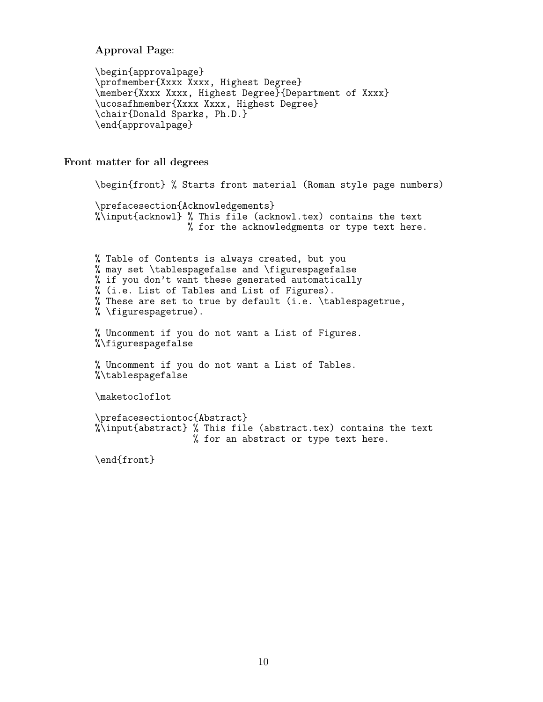Approval Page:

```
\begin{approvalpage}
\profmember{Xxxx Xxxx, Highest Degree}
\member{Xxxx Xxxx, Highest Degree}{Department of Xxxx}
\ucosafhmember{Xxxx Xxxx, Highest Degree}
\chair{Donald Sparks, Ph.D.}
\end{approvalpage}
```
<span id="page-9-0"></span>Front matter for all degrees

```
\begin{front} % Starts front material (Roman style page numbers)
\prefacesection{Acknowledgements}
%\input{acknowl} % This file (acknowl.tex) contains the text
                 % for the acknowledgments or type text here.
% Table of Contents is always created, but you
% may set \tablespagefalse and \figurespagefalse
% if you don't want these generated automatically
% (i.e. List of Tables and List of Figures).
% These are set to true by default (i.e. \tablespagetrue,
% \figurespagetrue).
% Uncomment if you do not want a List of Figures.
%\figurespagefalse
% Uncomment if you do not want a List of Tables.
%\tablespagefalse
\maketocloflot
\prefacesectiontoc{Abstract}
\sqrt[n]{\infty}input{abstract} % This file (abstract.tex) contains the text
                  % for an abstract or type text here.
\end{front}
```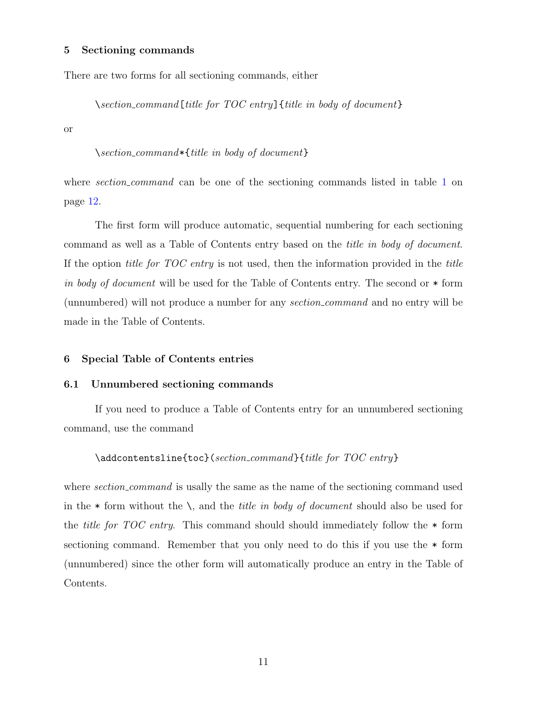#### <span id="page-10-0"></span>5 Sectioning commands

There are two forms for all sectioning commands, either

\section command[title for TOC entry]{title in body of document}

or

#### \section command\*{title in body of document}

where *section\_command* can be one of the sectioning commands listed in table [1](#page-11-0) on page [12.](#page-11-0)

The first form will produce automatic, sequential numbering for each sectioning command as well as a Table of Contents entry based on the title in body of document. If the option title for TOC entry is not used, then the information provided in the title in body of document will be used for the Table of Contents entry. The second or  $*$  form (unnumbered) will not produce a number for any section command and no entry will be made in the Table of Contents.

#### <span id="page-10-2"></span><span id="page-10-1"></span>6 Special Table of Contents entries

#### 6.1 Unnumbered sectioning commands

If you need to produce a Table of Contents entry for an unnumbered sectioning command, use the command

#### \addcontentsline{toc}(section command}{title for TOC entry}

where section\_command is usally the same as the name of the sectioning command used in the  $*$  form without the  $\setminus$ , and the *title in body of document* should also be used for the *title for TOC entry*. This command should should immediately follow the  $*$  form sectioning command. Remember that you only need to do this if you use the \* form (unnumbered) since the other form will automatically produce an entry in the Table of Contents.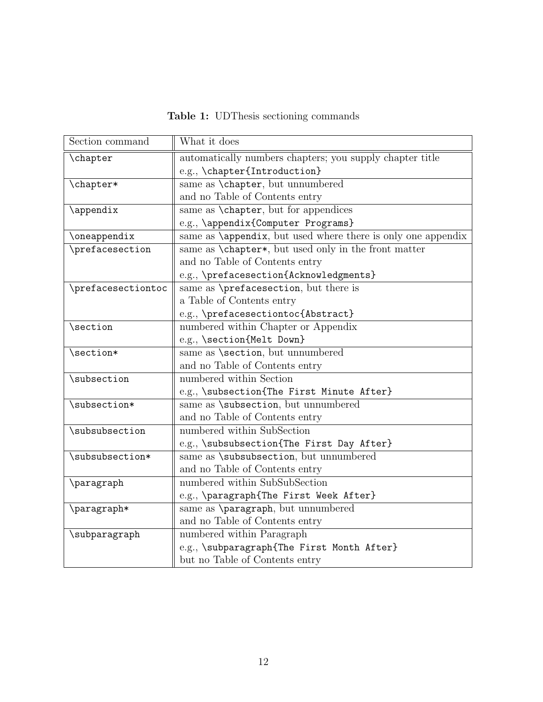Table 1: UDThesis sectioning commands

<span id="page-11-0"></span>

| Section command    | What it does                                                         |
|--------------------|----------------------------------------------------------------------|
| \chapter           | automatically numbers chapters; you supply chapter title             |
|                    | e.g., \chapter{Introduction}                                         |
| \chapter*          | same as \chapter, but unnumbered                                     |
|                    | and no Table of Contents entry                                       |
| \appendix          | same as <i>\chapter</i> , but for appendices                         |
|                    | e.g., \appendix{Computer Programs}                                   |
| \oneappendix       | same as <i>\appendix</i> , but used where there is only one appendix |
| \prefacesection    | same as <b>\chapter*</b> , but used only in the front matter         |
|                    | and no Table of Contents entry                                       |
|                    | e.g., \prefacesection{Acknowledgments}                               |
| \prefacesectiontoc | same as \prefacesection, but there is                                |
|                    | a Table of Contents entry                                            |
|                    | e.g., \prefacesectiontoc{Abstract}                                   |
| \section           | numbered within Chapter or Appendix                                  |
|                    | e.g., \section{Melt Down}                                            |
| \section*          | same as <b>\section</b> , but unnumbered                             |
|                    | and no Table of Contents entry                                       |
| \subsection        | numbered within Section                                              |
|                    | e.g., \subsection{The First Minute After}                            |
| \subsection*       | same as <b>\subsection</b> , but unnumbered                          |
|                    | and no Table of Contents entry                                       |
| \subsubsection     | numbered within SubSection                                           |
|                    | e.g., \subsubsection{The First Day After}                            |
| \subsubsection*    | same as \subsubsection, but unnumbered                               |
|                    | and no Table of Contents entry                                       |
| \paragraph         | numbered within SubSubSection                                        |
|                    | e.g., \paragraph{The First Week After}                               |
| \paragraph*        | same as \paragraph, but unnumbered                                   |
|                    | and no Table of Contents entry                                       |
| \subparagraph      | numbered within Paragraph                                            |
|                    | e.g., \subparagraph{The First Month After}                           |
|                    | but no Table of Contents entry                                       |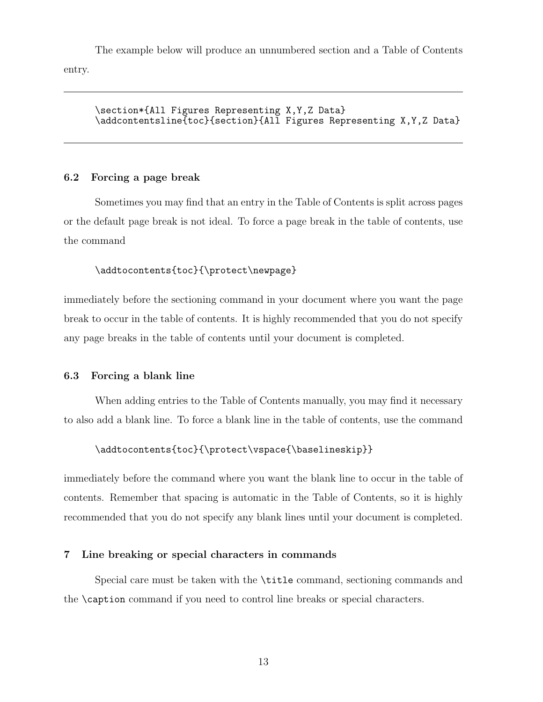The example below will produce an unnumbered section and a Table of Contents entry.

\section\*{All Figures Representing X,Y,Z Data} \addcontentsline{toc}{section}{All Figures Representing X,Y,Z Data}

### <span id="page-12-0"></span>6.2 Forcing a page break

Sometimes you may find that an entry in the Table of Contents is split across pages or the default page break is not ideal. To force a page break in the table of contents, use the command

### \addtocontents{toc}{\protect\newpage}

immediately before the sectioning command in your document where you want the page break to occur in the table of contents. It is highly recommended that you do not specify any page breaks in the table of contents until your document is completed.

### <span id="page-12-1"></span>6.3 Forcing a blank line

When adding entries to the Table of Contents manually, you may find it necessary to also add a blank line. To force a blank line in the table of contents, use the command

#### \addtocontents{toc}{\protect\vspace{\baselineskip}}

immediately before the command where you want the blank line to occur in the table of contents. Remember that spacing is automatic in the Table of Contents, so it is highly recommended that you do not specify any blank lines until your document is completed.

### <span id="page-12-2"></span>7 Line breaking or special characters in commands

Special care must be taken with the \title command, sectioning commands and the \caption command if you need to control line breaks or special characters.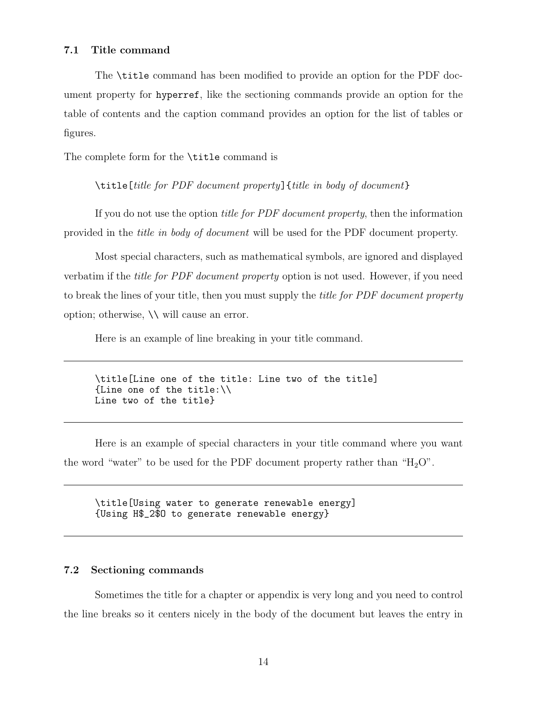#### <span id="page-13-0"></span>7.1 Title command

The \title command has been modified to provide an option for the PDF document property for hyperref, like the sectioning commands provide an option for the table of contents and the caption command provides an option for the list of tables or figures.

The complete form for the \title command is

\title[title for PDF document property]{title in body of document}

If you do not use the option title for PDF document property, then the information provided in the title in body of document will be used for the PDF document property.

Most special characters, such as mathematical symbols, are ignored and displayed verbatim if the title for PDF document property option is not used. However, if you need to break the lines of your title, then you must supply the *title for PDF document property* option; otherwise, \\ will cause an error.

Here is an example of line breaking in your title command.

```
\title[Line one of the title: Line two of the title]
{Line one of the title:\\
Line two of the title}
```
Here is an example of special characters in your title command where you want the word "water" to be used for the PDF document property rather than " $H_2O$ ".

\title[Using water to generate renewable energy] {Using H\$\_2\$O to generate renewable energy}

### <span id="page-13-1"></span>7.2 Sectioning commands

Sometimes the title for a chapter or appendix is very long and you need to control the line breaks so it centers nicely in the body of the document but leaves the entry in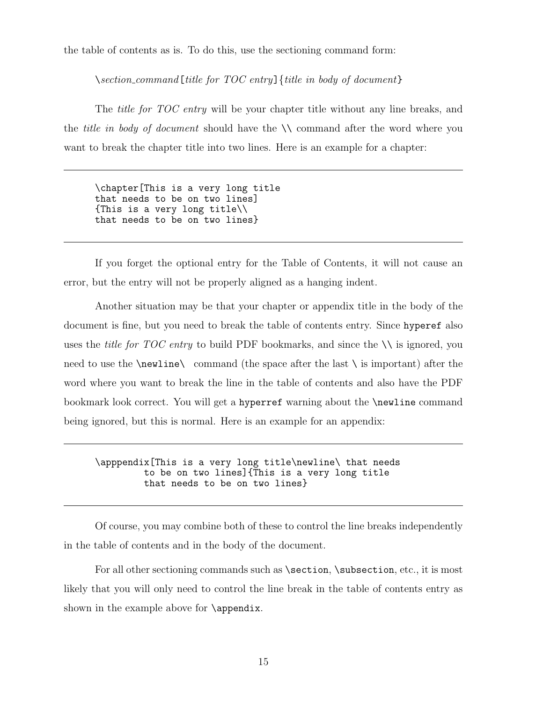the table of contents as is. To do this, use the sectioning command form:

 $\setminus section_{command[title for TOC entry]}$  {title in body of document}

The *title for TOC entry* will be your chapter title without any line breaks, and the *title in body of document* should have the  $\setminus \mathcal{E}$  command after the word where you want to break the chapter title into two lines. Here is an example for a chapter:

\chapter[This is a very long title that needs to be on two lines] {This is a very long title\\ that needs to be on two lines}

If you forget the optional entry for the Table of Contents, it will not cause an error, but the entry will not be properly aligned as a hanging indent.

Another situation may be that your chapter or appendix title in the body of the document is fine, but you need to break the table of contents entry. Since hyperef also uses the *title for TOC entry* to build PDF bookmarks, and since the  $\setminus \setminus$  is ignored, you need to use the  $\neq$  command (the space after the last  $\iota$  is important) after the word where you want to break the line in the table of contents and also have the PDF bookmark look correct. You will get a hyperref warning about the \newline command being ignored, but this is normal. Here is an example for an appendix:

\apppendix[This is a very long title\newline\ that needs to be on two lines]{This is a very long title that needs to be on two lines}

Of course, you may combine both of these to control the line breaks independently in the table of contents and in the body of the document.

For all other sectioning commands such as \section, \subsection, etc., it is most likely that you will only need to control the line break in the table of contents entry as shown in the example above for \appendix.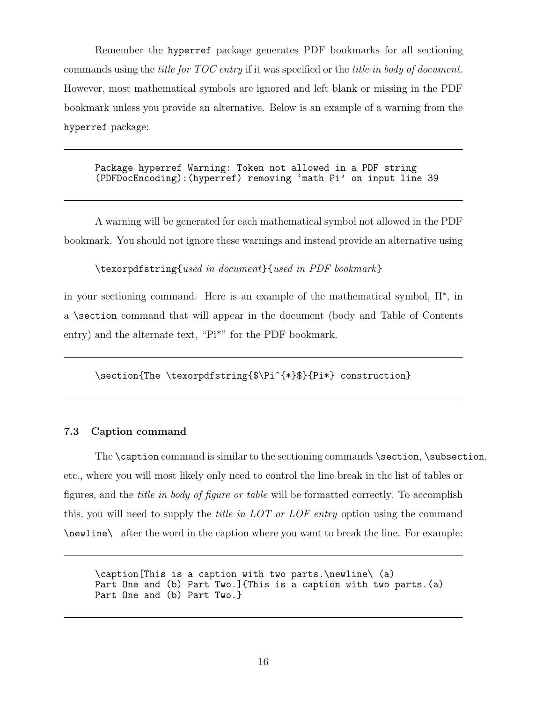Remember the hyperref package generates PDF bookmarks for all sectioning commands using the title for TOC entry if it was specified or the title in body of document. However, most mathematical symbols are ignored and left blank or missing in the PDF bookmark unless you provide an alternative. Below is an example of a warning from the hyperref package:

Package hyperref Warning: Token not allowed in a PDF string (PDFDocEncoding):(hyperref) removing 'math Pi' on input line 39

A warning will be generated for each mathematical symbol not allowed in the PDF bookmark. You should not ignore these warnings and instead provide an alternative using

\texorpdfstring{used in document}{used in PDF bookmark}

in your sectioning command. Here is an example of the mathematical symbol, Π<sup>∗</sup> , in a \section command that will appear in the document (body and Table of Contents entry) and the alternate text, "Pi\*" for the PDF bookmark.

\section{The \texorpdfstring{\$\Pi^{\*}\$}{Pi\*} construction}

### <span id="page-15-0"></span>7.3 Caption command

The \caption command is similar to the sectioning commands \section, \subsection, etc., where you will most likely only need to control the line break in the list of tables or figures, and the title in body of figure or table will be formatted correctly. To accomplish this, you will need to supply the *title in LOT or LOF entry* option using the command \newline\ after the word in the caption where you want to break the line. For example:

\caption[This is a caption with two parts.\newline\ (a) Part One and (b) Part Two.]{This is a caption with two parts.(a) Part One and (b) Part Two.}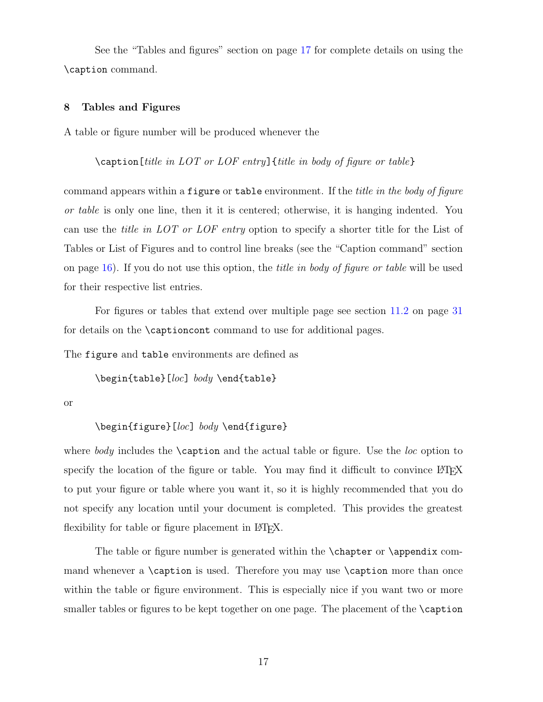See the "Tables and figures" section on page [17](#page-16-0) for complete details on using the \caption command.

#### <span id="page-16-0"></span>8 Tables and Figures

A table or figure number will be produced whenever the

 $\{\text{caption}[title in *LOT* or *LOF* entry] {title in *body* of figure or table\}$ 

command appears within a figure or table environment. If the *title in the body of figure* or table is only one line, then it it is centered; otherwise, it is hanging indented. You can use the title in LOT or LOF entry option to specify a shorter title for the List of Tables or List of Figures and to control line breaks (see the "Caption command" section on page [16\)](#page-15-0). If you do not use this option, the title in body of figure or table will be used for their respective list entries.

For figures or tables that extend over multiple page see section [11.2](#page-30-0) on page [31](#page-30-0) for details on the \captioncont command to use for additional pages.

The figure and table environments are defined as

\begin{table}[loc] body \end{table}

or

#### \begin{figure}[loc] body \end{figure}

where body includes the  $\cosh$  and the actual table or figure. Use the loc option to specify the location of the figure or table. You may find it difficult to convince LATEX to put your figure or table where you want it, so it is highly recommended that you do not specify any location until your document is completed. This provides the greatest flexibility for table or figure placement in LAT<sub>EX</sub>.

The table or figure number is generated within the \chapter or \appendix command whenever a \caption is used. Therefore you may use \caption more than once within the table or figure environment. This is especially nice if you want two or more smaller tables or figures to be kept together on one page. The placement of the **\caption**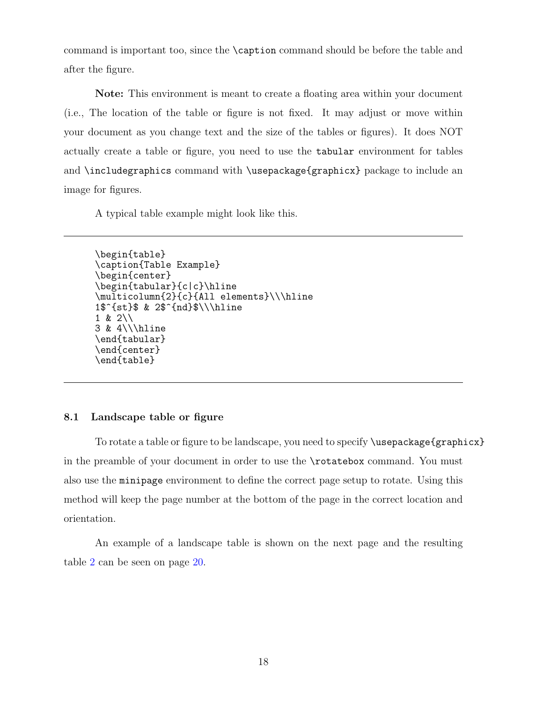command is important too, since the \caption command should be before the table and after the figure.

Note: This environment is meant to create a floating area within your document (i.e., The location of the table or figure is not fixed. It may adjust or move within your document as you change text and the size of the tables or figures). It does NOT actually create a table or figure, you need to use the tabular environment for tables and \includegraphics command with \usepackage{graphicx} package to include an image for figures.

A typical table example might look like this.

```
\begin{table}
\caption{Table Example}
\begin{center}
\begin{tabular}{c|c}\hline
\multicolumn{2}{c}{All elements}\\\hline
1$^{st}$ & 2$^{nd}$\\\hline
1 & 2\\
3 & 4\\\hline
\end{tabular}
\end{center}
\end{table}
```
### <span id="page-17-0"></span>8.1 Landscape table or figure

To rotate a table or figure to be landscape, you need to specify \usepackage{graphicx} in the preamble of your document in order to use the \rotatebox command. You must also use the minipage environment to define the correct page setup to rotate. Using this method will keep the page number at the bottom of the page in the correct location and orientation.

An example of a landscape table is shown on the next page and the resulting table [2](#page-19-0) can be seen on page [20.](#page-19-0)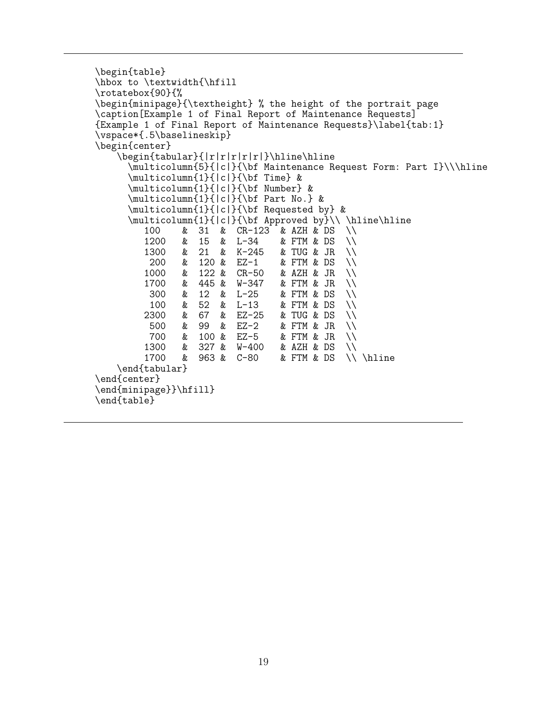```
\begin{table}
\hbox to \textwidth{\hfill
\rotatebox{90}{%
\begin{minipage}{\textheight} % the height of the portrait page
\caption[Example 1 of Final Report of Maintenance Requests]
{Example 1 of Final Report of Maintenance Requests}\label{tab:1}
\vspace*{.5\baselineskip}
\begin{center}
    \begin{tabular}{|r|r|r|r|r|}\hline\hline
       \multicolumn{5}{|c|}{\bf Maintenance Request Form: Part I}\\\hline
      \multicolumn{1}{|c|}{\bf Time} &
       \multicolumn{1}{|c|}{\bf Number} &
       \multicolumn{1}{|c|}{\bf Part No.} &
      \multicolumn{1}{|c|}{\bf Requested by} &
       \multicolumn{1}{|c|}{\bf Approved by}\\ \hline\hline<br>100 & 31 & CR-123 & AZH & DS \\
          100 & 31 & CR-123 & AZH & DS \\<br>1200 & 15 & L-34 & FTM & DS \\
          1200 & 15 & L-34 & FTM & DS \\<br>1300 & 21 & K-245 & TUG & JR \\
           1300 & 21 & K-245 & TUG & JR \\
                  200 & 120 & EZ-1 & FTM & DS \\
          1000 & 122 & CR-50 & AZH & JR \\
           1700 & 445 & W-347 & FTM & JR \\
           300 & 12 & L-25 & FTM & DS<br>100 & 52 & L-13 & FTM & DS
          100 & 52 & L-13 & FTM & DS \\<br>2300 & 67 & EZ-25 & TUG & DS \\
           2300 & 67 & EZ-25 & TUG & DS \\
           500 & 99 & EZ-2 & FTM & JR \\
          700 & 100 & EZ-5 & FTM & JR \\<br>1300 & 327 & W-400 & AZH & DS \\
          1300 & 327 & W-400<br>1700 & 963 & C-80
                                      & FTM & DS \backslash \ \hline
    \end{tabular}
\end{center}
\end{minipage}}\hfill}
\end{table}
```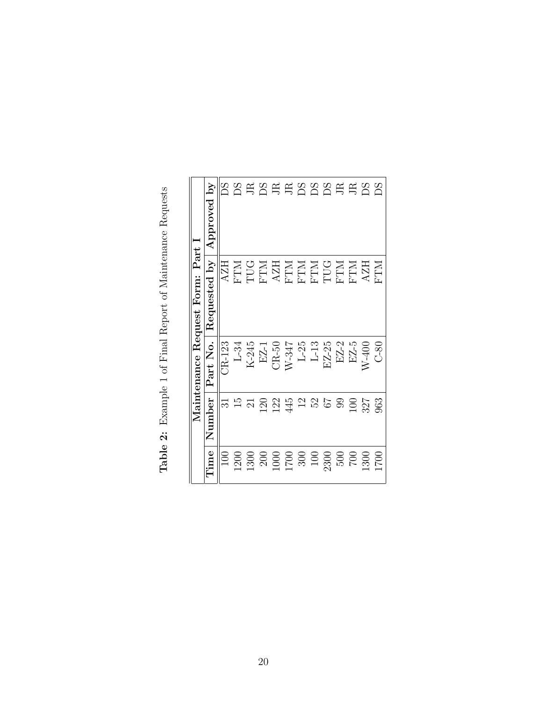| Number<br>122<br>445<br>23<br>Ξ<br>$\overline{5}$<br>ನ<br><b>20</b><br>$\frac{2}{3}$<br>89<br>$\Xi$<br>327<br>$\overline{\Omega}$<br>Time<br>100<br><b>1200</b><br>$\begin{array}{c} 200 \\ 1000 \\ 1700 \\ 300 \\ 100 \\ 100 \\ \end{array}$<br>1300<br>$\frac{002}{200}$ |                 |                                   | Maintenance Request Form: Part I   |             |
|----------------------------------------------------------------------------------------------------------------------------------------------------------------------------------------------------------------------------------------------------------------------------|-----------------|-----------------------------------|------------------------------------|-------------|
|                                                                                                                                                                                                                                                                            |                 | Part No.                          | Requested by                       | Approved by |
|                                                                                                                                                                                                                                                                            |                 | CR-123                            | <b>AZH</b>                         |             |
|                                                                                                                                                                                                                                                                            |                 | $L-34$                            | <b>NLEH</b>                        | SC<br>DS    |
|                                                                                                                                                                                                                                                                            |                 | K-245                             | TUG                                |             |
|                                                                                                                                                                                                                                                                            |                 | $EZ-1$                            | $\mathbb{MT}$ H                    | ESEESSS     |
|                                                                                                                                                                                                                                                                            |                 | $CR-50$                           | ${\rm AZH}$                        |             |
|                                                                                                                                                                                                                                                                            |                 | $W-347$                           |                                    |             |
|                                                                                                                                                                                                                                                                            |                 |                                   |                                    |             |
|                                                                                                                                                                                                                                                                            |                 | $\frac{\text{L-25}}{\text{L-13}}$ | <b>PITM<br/>MTH<br/>MTH</b><br>MTH |             |
|                                                                                                                                                                                                                                                                            |                 | EZ-25                             |                                    |             |
|                                                                                                                                                                                                                                                                            |                 | $EZ-2$                            | <b>FTM</b><br>FTM                  |             |
|                                                                                                                                                                                                                                                                            |                 | $EZ-5$                            |                                    |             |
|                                                                                                                                                                                                                                                                            | <sup>1300</sup> | $W-400$                           | <b>AZH</b>                         | EBZ         |
| 963<br>0021                                                                                                                                                                                                                                                                |                 | 0.80                              | <b>NLLA</b>                        |             |

<span id="page-19-0"></span>Table 2: Example 1 of Final Report of Maintenance Requests Table 2: Example 1 of Final Report of Maintenance Requests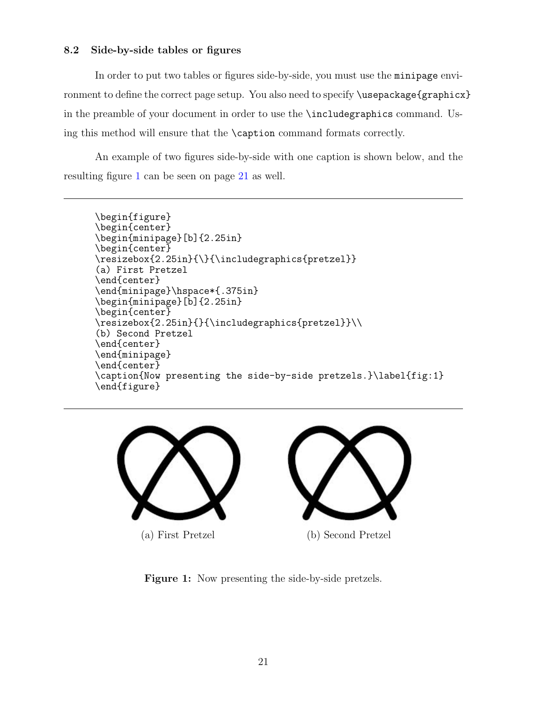### <span id="page-20-0"></span>8.2 Side-by-side tables or figures

In order to put two tables or figures side-by-side, you must use the minipage environment to define the correct page setup. You also need to specify \usepackage{graphicx} in the preamble of your document in order to use the \includegraphics command. Using this method will ensure that the \caption command formats correctly.

An example of two figures side-by-side with one caption is shown below, and the resulting figure [1](#page-20-1) can be seen on page [21](#page-20-1) as well.

```
\begin{figure}
\begin{center}
\begin{minipage}[b]{2.25in}
\begin{center}
\resizebox{2.25in}{\}{\includegraphics{pretzel}}
(a) First Pretzel
\end{center}
\end{minipage}\hspace*{.375in}
\begin{minipage}[b]{2.25in}
\begin{center}
\resizebox{2.25in}{}{\includegraphics{pretzel}}\\
(b) Second Pretzel
\end{center}
\end{minipage}
\end{center}
\caption{Now presenting the side-by-side pretzels.}\label{fig:1}
\end{figure}
```
<span id="page-20-1"></span>



Figure 1: Now presenting the side-by-side pretzels.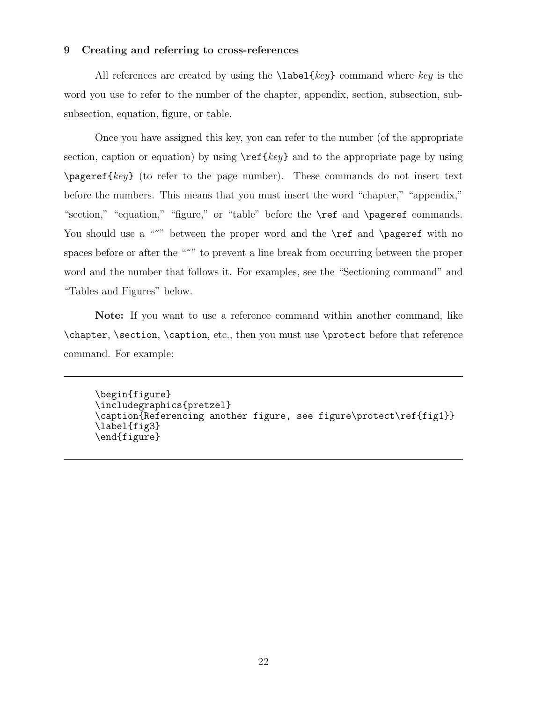#### <span id="page-21-0"></span>9 Creating and referring to cross-references

All references are created by using the  $\lambda$  abel{key} command where key is the word you use to refer to the number of the chapter, appendix, section, subsection, subsubsection, equation, figure, or table.

Once you have assigned this key, you can refer to the number (of the appropriate section, caption or equation) by using  $\ref{key}$  and to the appropriate page by using  $\text{pageref}\$  (to refer to the page number). These commands do not insert text before the numbers. This means that you must insert the word "chapter," "appendix," "section," "equation," "figure," or "table" before the **\ref** and **\pageref** commands. You should use a """ between the proper word and the **\ref** and **\pageref** with no spaces before or after the """ to prevent a line break from occurring between the proper word and the number that follows it. For examples, see the "Sectioning command" and "Tables and Figures" below.

Note: If you want to use a reference command within another command, like \chapter, \section, \caption, etc., then you must use \protect before that reference command. For example:

\begin{figure} \includegraphics{pretzel} \caption{Referencing another figure, see figure\protect\ref{fig1}} \label{fig3} \end{figure}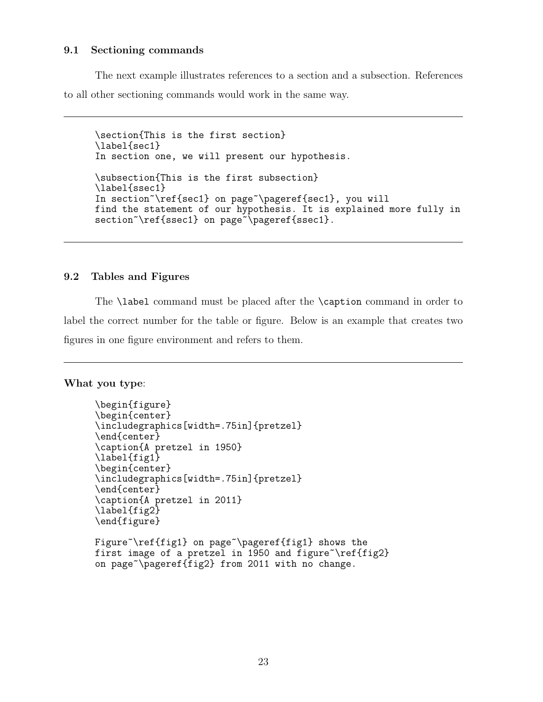#### <span id="page-22-0"></span>9.1 Sectioning commands

The next example illustrates references to a section and a subsection. References to all other sectioning commands would work in the same way.

\section{This is the first section} \label{sec1} In section one, we will present our hypothesis. \subsection{This is the first subsection} \label{ssec1} In section~\ref{sec1} on page~\pageref{sec1}, you will find the statement of our hypothesis. It is explained more fully in section~\ref{ssec1} on page~\pageref{ssec1}.

### <span id="page-22-1"></span>9.2 Tables and Figures

The **\label** command must be placed after the **\caption** command in order to label the correct number for the table or figure. Below is an example that creates two figures in one figure environment and refers to them.

What you type:

```
\begin{figure}
\begin{center}
\includegraphics[width=.75in]{pretzel}
\end{center}
\caption{A pretzel in 1950}
\label{fig1}
\begin{center}
\includegraphics[width=.75in]{pretzel}
\end{center}
\caption{A pretzel in 2011}
\label{fig2}
\end{figure}
Figure~\ref{fig1} on page~\pageref{fig1} shows the
first image of a pretzel in 1950 and figure<sup>\ref{fig2}</sup>
on page~\pageref{fig2} from 2011 with no change.
```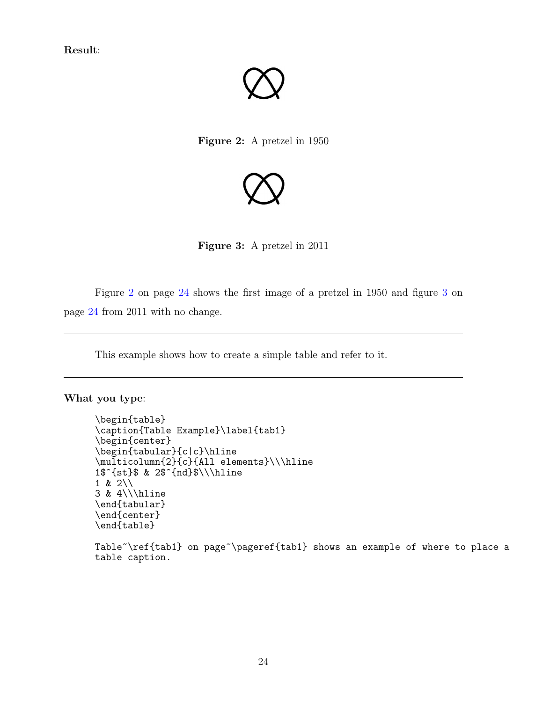<span id="page-23-0"></span>Result:



Figure 2: A pretzel in 1950

<span id="page-23-1"></span>

Figure 3: A pretzel in 2011

Figure [2](#page-23-0) on page [24](#page-23-0) shows the first image of a pretzel in 1950 and figure [3](#page-23-1) on page [24](#page-23-1) from 2011 with no change.

This example shows how to create a simple table and refer to it.

What you type:

```
\begin{table}
\caption{Table Example}\label{tab1}
\begin{center}
\begin{tabular}{c|c}\hline
\multicolumn{2}{c}{All elements}\\\hline
1$^{st}$ & 2$^{nd}$\\\hline
1 & 2 \\\backslash3 & 4\\\hline
\end{tabular}
\end{center}
\end{table}
```
Table~\ref{tab1} on page~\pageref{tab1} shows an example of where to place a table caption.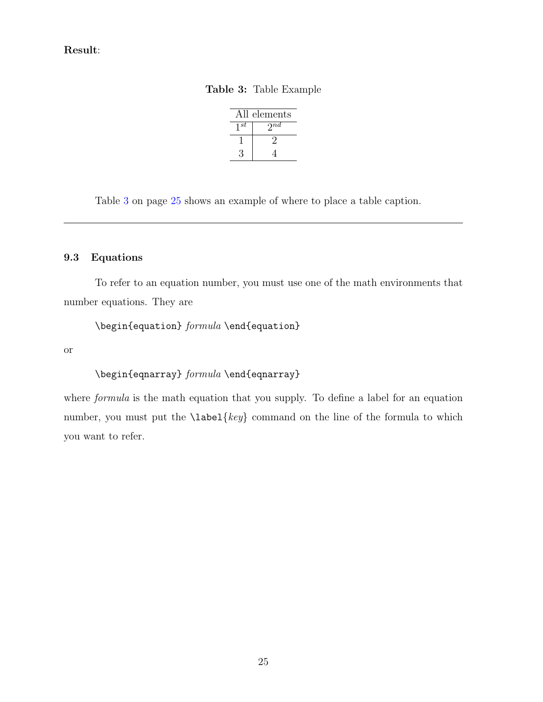# <span id="page-24-1"></span>Result:

Table 3: Table Example

|          | All elements             |
|----------|--------------------------|
| $1^{st}$ | $\overline{\gamma^{nd}}$ |
|          |                          |
|          |                          |

Table [3](#page-24-1) on page [25](#page-24-1) shows an example of where to place a table caption.

### <span id="page-24-0"></span>9.3 Equations

To refer to an equation number, you must use one of the math environments that number equations. They are

\begin{equation} formula \end{equation}

or

# \begin{eqnarray} formula \end{eqnarray}

where *formula* is the math equation that you supply. To define a label for an equation number, you must put the  $\langle key \rangle$  command on the line of the formula to which you want to refer.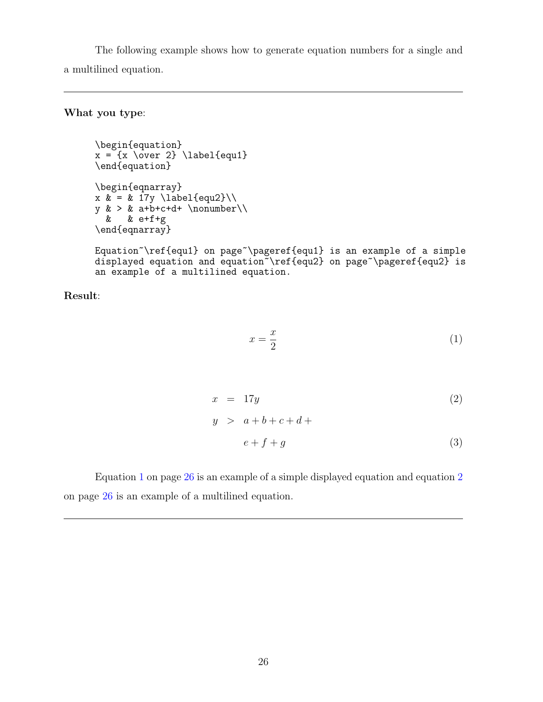The following example shows how to generate equation numbers for a single and a multilined equation.

## What you type:

```
\begin{equation}
x = \{x \over 2\} \leq \text{equal}\}\end{equation}
\begin{eqnarray}
x & = & 17y \label{equ2}\\
y \> \> 4+6+4+ \nonumber\& & e+f+g
\end{eqnarray}
```
Equation~\ref{equ1} on page~\pageref{equ1} is an example of a simple displayed equation and equation \ref{equ2} on page \pageref{equ2} is an example of a multilined equation.

Result:

<span id="page-25-0"></span>
$$
x = \frac{x}{2} \tag{1}
$$

<span id="page-25-1"></span>
$$
x = 17y
$$
  
\n
$$
y > a+b+c+d+
$$
\n(2)

$$
e + f + g \tag{3}
$$

Equation [1](#page-25-0) on page [26](#page-25-0) is an example of a simple displayed equation and equation [2](#page-25-1) on page [26](#page-25-1) is an example of a multilined equation.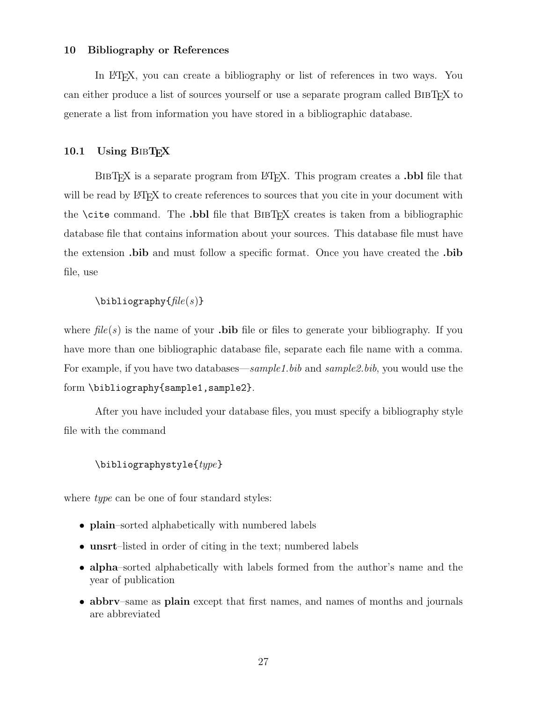#### <span id="page-26-0"></span>10 Bibliography or References

In LATEX, you can create a bibliography or list of references in two ways. You can either produce a list of sources yourself or use a separate program called BibTEX to generate a list from information you have stored in a bibliographic database.

#### <span id="page-26-1"></span>10.1 Using  $BIBTrX$

BIBT<sub>EX</sub> is a separate program from LAT<sub>EX</sub>. This program creates a **.bbl** file that will be read by LATEX to create references to sources that you cite in your document with the \cite command. The .bbl file that BibTEX creates is taken from a bibliographic database file that contains information about your sources. This database file must have the extension .bib and must follow a specific format. Once you have created the .bib file, use

#### $\big\{\hbox{hibliography}\{\hbox{file}(s)\}\$

where  $file(s)$  is the name of your **bibliography**. If you have more than one bibliographic database file, separate each file name with a comma. For example, if you have two databases—sample1.bib and sample2.bib, you would use the form \bibliography{sample1,sample2}.

After you have included your database files, you must specify a bibliography style file with the command

### \bibliographystyle{type}

where *type* can be one of four standard styles:

- **plain**–sorted alphabetically with numbered labels
- unsrt-listed in order of citing in the text; numbered labels
- alpha–sorted alphabetically with labels formed from the author's name and the year of publication
- abbry–same as plain except that first names, and names of months and journals are abbreviated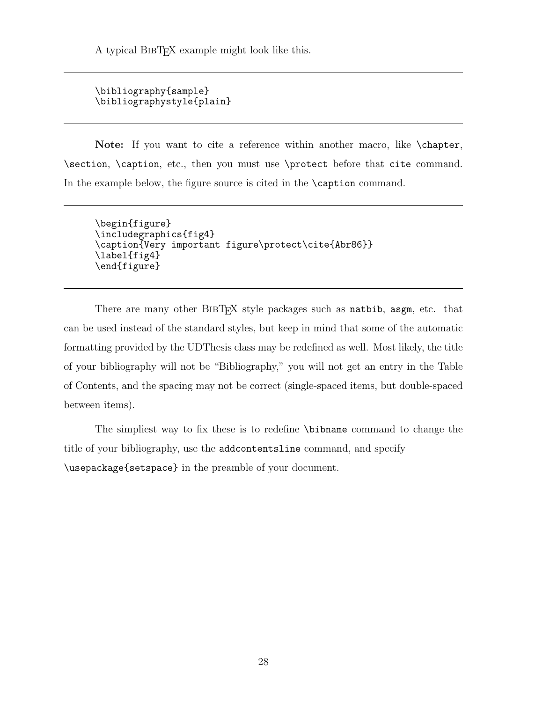A typical BibTEX example might look like this.

```
\bibliography{sample}
\bibliographystyle{plain}
```
Note: If you want to cite a reference within another macro, like \chapter, \section, \caption, etc., then you must use \protect before that cite command. In the example below, the figure source is cited in the **\caption** command.

```
\begin{figure}
\includegraphics{fig4}
\caption{Very important figure\protect\cite{Abr86}}
\label{fig4}
\end{figure}
```
There are many other BIBTEX style packages such as natbib, asgm, etc. that can be used instead of the standard styles, but keep in mind that some of the automatic formatting provided by the UDThesis class may be redefined as well. Most likely, the title of your bibliography will not be "Bibliography," you will not get an entry in the Table of Contents, and the spacing may not be correct (single-spaced items, but double-spaced between items).

The simpliest way to fix these is to redefine \bibname command to change the title of your bibliography, use the addcontentsline command, and specify \usepackage{setspace} in the preamble of your document.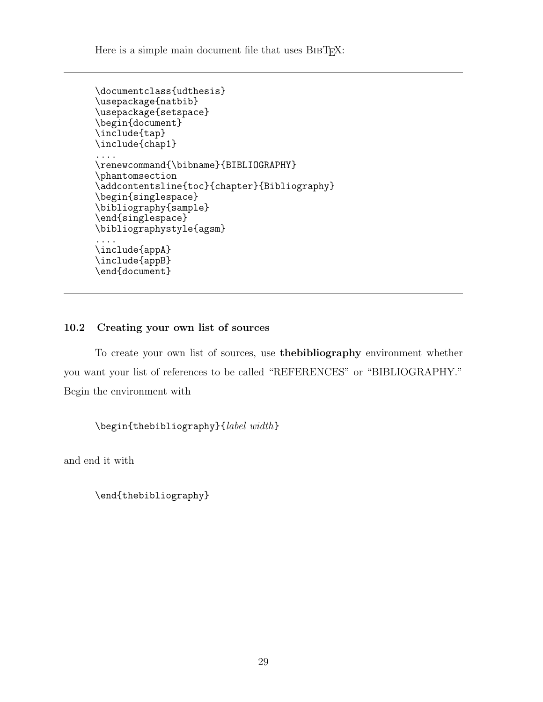Here is a simple main document file that uses BIBT<sub>EX</sub>:

```
\documentclass{udthesis}
\usepackage{natbib}
\usepackage{setspace}
\begin{document}
\include{tap}
\include{chap1}
....
\renewcommand{\bibname}{BIBLIOGRAPHY}
\phantomsection
\addcontentsline{toc}{chapter}{Bibliography}
\begin{singlespace}
\bibliography{sample}
\end{singlespace}
\bibliographystyle{agsm}
....
\include{appA}
\include{appB}
\end{document}
```
# <span id="page-28-0"></span>10.2 Creating your own list of sources

To create your own list of sources, use thebibliography environment whether you want your list of references to be called "REFERENCES" or "BIBLIOGRAPHY." Begin the environment with

\begin{thebibliography}{label width}

and end it with

\end{thebibliography}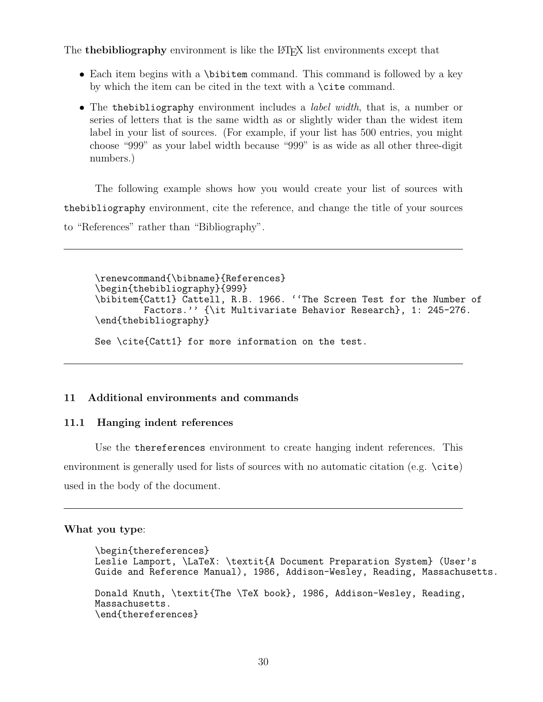The **thebibliography** environment is like the LAT<sub>EX</sub> list environments except that

- Each item begins with a \bibitem command. This command is followed by a key by which the item can be cited in the text with a \cite command.
- The thebibliography environment includes a *label width*, that is, a number or series of letters that is the same width as or slightly wider than the widest item label in your list of sources. (For example, if your list has 500 entries, you might choose "999" as your label width because "999" is as wide as all other three-digit numbers.)

The following example shows how you would create your list of sources with thebibliography environment, cite the reference, and change the title of your sources to "References" rather than "Bibliography".

```
\renewcommand{\bibname}{References}
\begin{thebibliography}{999}
\bibitem{Catt1} Cattell, R.B. 1966. ''The Screen Test for the Number of
         Factors.'' {\it Multivariate Behavior Research}, 1: 245-276.
\end{thebibliography}
See \cite{Catt1} for more information on the test.
```
### <span id="page-29-1"></span><span id="page-29-0"></span>11 Additional environments and commands

#### 11.1 Hanging indent references

Use the thereferences environment to create hanging indent references. This environment is generally used for lists of sources with no automatic citation (e.g. \cite) used in the body of the document.

#### What you type:

```
\begin{thereferences}
Leslie Lamport, \LaTeX: \textit{A Document Preparation System} (User's
Guide and Reference Manual), 1986, Addison-Wesley, Reading, Massachusetts.
Donald Knuth, \textit{The \TeX book}, 1986, Addison-Wesley, Reading,
Massachusetts.
\end{thereferences}
```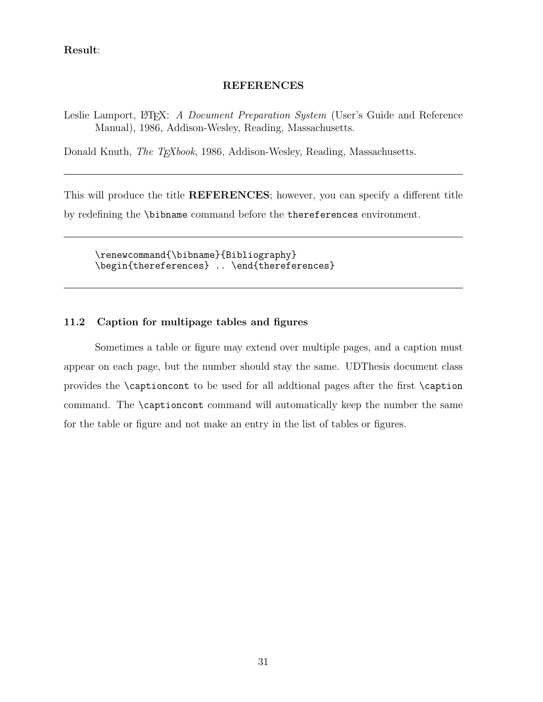## Result:

#### **REFERENCES**

Leslie Lamport, L<sup>AT</sup>EX: A *Document Preparation System* (User's Guide and Reference Manual), 1986, Addison-Wesley, Reading, Massachusetts.

Donald Knuth, The TEXbook, 1986, Addison-Wesley, Reading, Massachusetts.

This will produce the title REFERENCES; however, you can specify a different title by redefining the \bibname command before the thereferences environment.

\renewcommand{\bibname}{Bibliography} \begin{thereferences} .. \end{thereferences}

## <span id="page-30-0"></span>11.2 Caption for multipage tables and figures

Sometimes a table or figure may extend over multiple pages, and a caption must appear on each page, but the number should stay the same. UDThesis document class provides the \captioncont to be used for all addtional pages after the first \caption command. The \captioncont command will automatically keep the number the same for the table or figure and not make an entry in the list of tables or figures.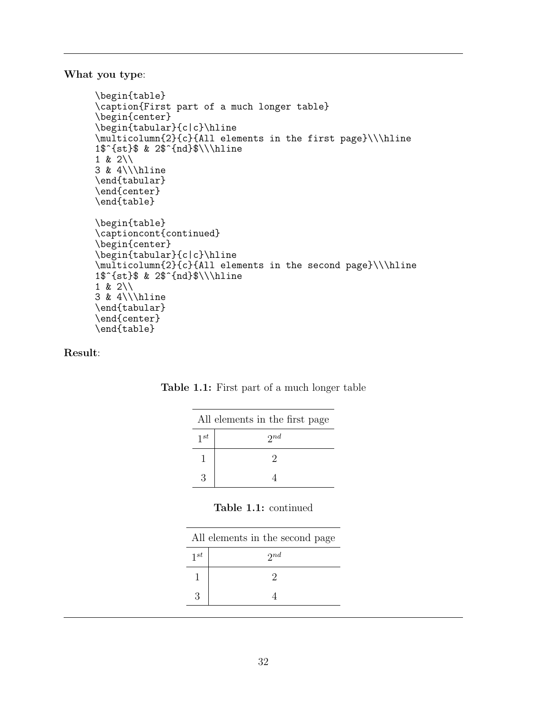What you type:

```
\begin{table}
\caption{First part of a much longer table}
\begin{center}
\begin{tabular}{c|c}\hline
\multicolumn{2}{c}{All elements in the first page}\\\hline
1$^{st}$ & 2$^{nd}$\\\hline
1 & 2\\
3 & 4\\\hline
\end{tabular}
\end{center}
\end{table}
\begin{table}
\captioncont{continued}
\begin{center}
\begin{tabular}{c|c}\hline
\multicolumn{2}{c}{All elements in the second page}\\\hline
1$^{st}$ & 2$^{nd}$\\\hline
1 & 2\\
3 & 4\\\hline
\end{tabular}
\end{center}
\end{table}
```
Result:

|          | All elements in the first page |
|----------|--------------------------------|
| $1^{st}$ | $2^{nd}$                       |
|          | ٠,                             |
| З        |                                |

### Table 1.1: First part of a much longer table

### Table 1.1: continued

|          | All elements in the second page |
|----------|---------------------------------|
| $1^{st}$ | $2^{nd}$                        |
|          |                                 |
| 3        |                                 |